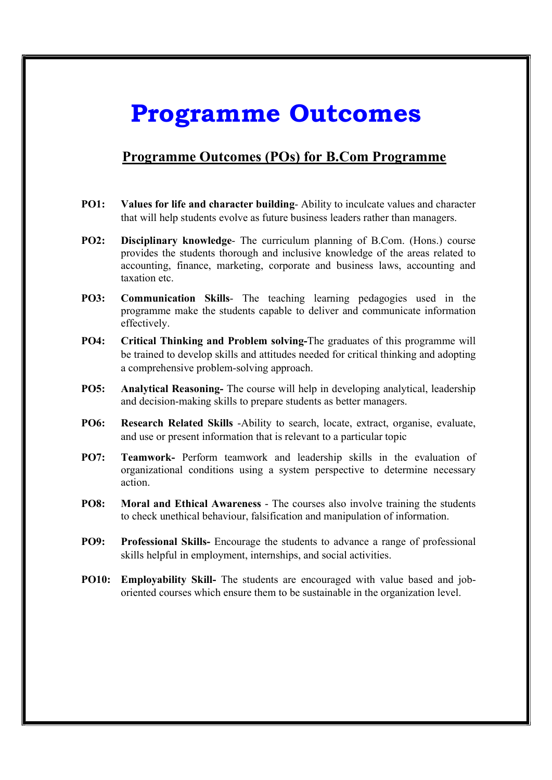## Programme Outcomes

## Programme Outcomes (POs) for B.Com Programme

- PO1: Values for life and character building- Ability to inculcate values and character that will help students evolve as future business leaders rather than managers.
- PO2: Disciplinary knowledge- The curriculum planning of B.Com. (Hons.) course provides the students thorough and inclusive knowledge of the areas related to accounting, finance, marketing, corporate and business laws, accounting and taxation etc.
- PO3: Communication Skills- The teaching learning pedagogies used in the programme make the students capable to deliver and communicate information effectively.
- PO4: Critical Thinking and Problem solving-The graduates of this programme will be trained to develop skills and attitudes needed for critical thinking and adopting a comprehensive problem-solving approach.
- PO5: Analytical Reasoning- The course will help in developing analytical, leadership and decision-making skills to prepare students as better managers.
- PO6: Research Related Skills -Ability to search, locate, extract, organise, evaluate, and use or present information that is relevant to a particular topic
- PO7: Teamwork- Perform teamwork and leadership skills in the evaluation of organizational conditions using a system perspective to determine necessary action.
- PO8: Moral and Ethical Awareness The courses also involve training the students to check unethical behaviour, falsification and manipulation of information.
- PO9: Professional Skills- Encourage the students to advance a range of professional skills helpful in employment, internships, and social activities.
- PO10: Employability Skill- The students are encouraged with value based and joboriented courses which ensure them to be sustainable in the organization level.